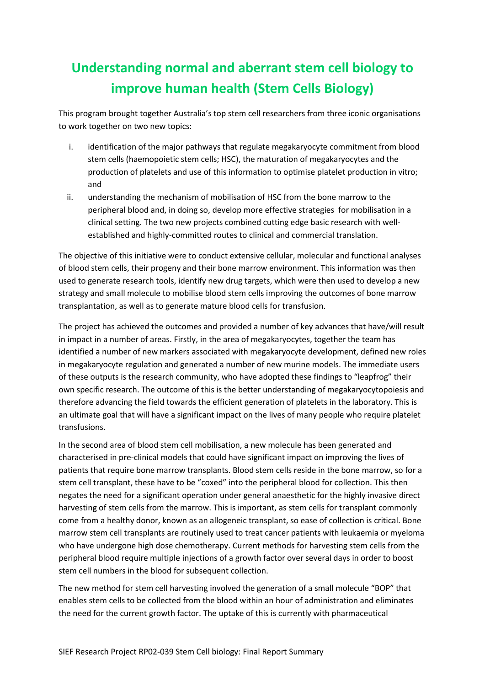## **Understanding normal and aberrant stem cell biology to improve human health (Stem Cells Biology)**

This program brought together Australia's top stem cell researchers from three iconic organisations to work together on two new topics:

- i. identification of the major pathways that regulate megakaryocyte commitment from blood stem cells (haemopoietic stem cells; HSC), the maturation of megakaryocytes and the production of platelets and use of this information to optimise platelet production in vitro; and
- ii. understanding the mechanism of mobilisation of HSC from the bone marrow to the peripheral blood and, in doing so, develop more effective strategies for mobilisation in a clinical setting. The two new projects combined cutting edge basic research with wellestablished and highly-committed routes to clinical and commercial translation.

The objective of this initiative were to conduct extensive cellular, molecular and functional analyses of blood stem cells, their progeny and their bone marrow environment. This information was then used to generate research tools, identify new drug targets, which were then used to develop a new strategy and small molecule to mobilise blood stem cells improving the outcomes of bone marrow transplantation, as well as to generate mature blood cells for transfusion.

The project has achieved the outcomes and provided a number of key advances that have/will result in impact in a number of areas. Firstly, in the area of megakaryocytes, together the team has identified a number of new markers associated with megakaryocyte development, defined new roles in megakaryocyte regulation and generated a number of new murine models. The immediate users of these outputs is the research community, who have adopted these findings to "leapfrog" their own specific research. The outcome of this is the better understanding of megakaryocytopoiesis and therefore advancing the field towards the efficient generation of platelets in the laboratory. This is an ultimate goal that will have a significant impact on the lives of many people who require platelet transfusions.

In the second area of blood stem cell mobilisation, a new molecule has been generated and characterised in pre-clinical models that could have significant impact on improving the lives of patients that require bone marrow transplants. Blood stem cells reside in the bone marrow, so for a stem cell transplant, these have to be "coxed" into the peripheral blood for collection. This then negates the need for a significant operation under general anaesthetic for the highly invasive direct harvesting of stem cells from the marrow. This is important, as stem cells for transplant commonly come from a healthy donor, known as an allogeneic transplant, so ease of collection is critical. Bone marrow stem cell transplants are routinely used to treat cancer patients with leukaemia or myeloma who have undergone high dose chemotherapy. Current methods for harvesting stem cells from the peripheral blood require multiple injections of a growth factor over several days in order to boost stem cell numbers in the blood for subsequent collection.

The new method for stem cell harvesting involved the generation of a small molecule "BOP" that enables stem cells to be collected from the blood within an hour of administration and eliminates the need for the current growth factor. The uptake of this is currently with pharmaceutical